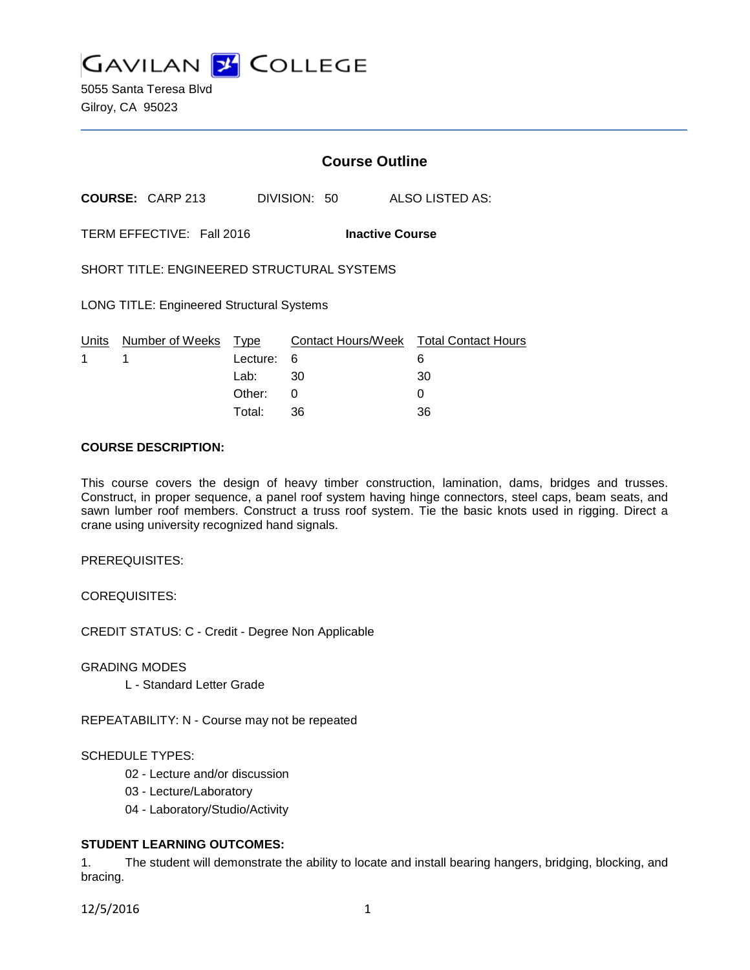**GAVILAN J COLLEGE** 

5055 Santa Teresa Blvd Gilroy, CA 95023

# **Course Outline**

**COURSE:** CARP 213 DIVISION: 50 ALSO LISTED AS:

TERM EFFECTIVE: Fall 2016 **Inactive Course**

SHORT TITLE: ENGINEERED STRUCTURAL SYSTEMS

LONG TITLE: Engineered Structural Systems

|             | Units Number of Weeks Type |            | Contact Hours/Week Total Contact Hours |    |
|-------------|----------------------------|------------|----------------------------------------|----|
| $1 \quad 1$ |                            | Lecture: 6 |                                        |    |
|             |                            | Lab: __    | - 30                                   | 30 |
|             |                            | Other:     |                                        |    |
|             |                            | Total:     | -36                                    | 36 |

#### **COURSE DESCRIPTION:**

This course covers the design of heavy timber construction, lamination, dams, bridges and trusses. Construct, in proper sequence, a panel roof system having hinge connectors, steel caps, beam seats, and sawn lumber roof members. Construct a truss roof system. Tie the basic knots used in rigging. Direct a crane using university recognized hand signals.

PREREQUISITES:

COREQUISITES:

CREDIT STATUS: C - Credit - Degree Non Applicable

GRADING MODES

L - Standard Letter Grade

REPEATABILITY: N - Course may not be repeated

#### SCHEDULE TYPES:

- 02 Lecture and/or discussion
- 03 Lecture/Laboratory
- 04 Laboratory/Studio/Activity

## **STUDENT LEARNING OUTCOMES:**

1. The student will demonstrate the ability to locate and install bearing hangers, bridging, blocking, and bracing.

12/5/2016 1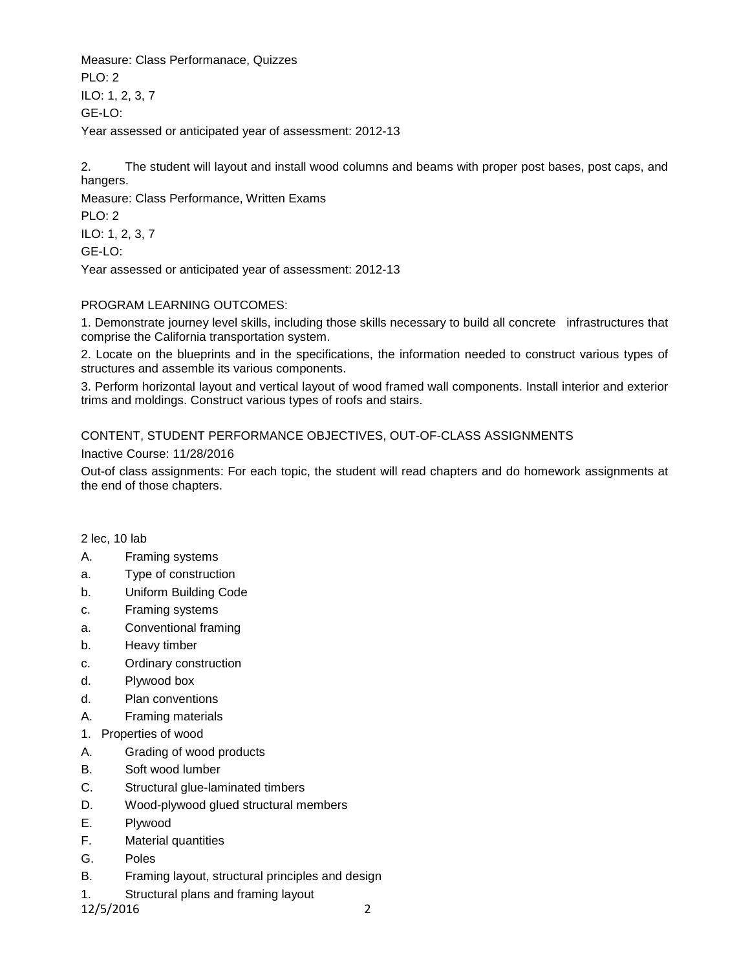Measure: Class Performanace, Quizzes  $PLO: 2$ ILO: 1, 2, 3, 7 GE-LO: Year assessed or anticipated year of assessment: 2012-13

2. The student will layout and install wood columns and beams with proper post bases, post caps, and hangers.

Measure: Class Performance, Written Exams PLO: 2 ILO: 1, 2, 3, 7 GE-LO: Year assessed or anticipated year of assessment: 2012-13

## PROGRAM LEARNING OUTCOMES:

1. Demonstrate journey level skills, including those skills necessary to build all concrete infrastructures that comprise the California transportation system.

2. Locate on the blueprints and in the specifications, the information needed to construct various types of structures and assemble its various components.

3. Perform horizontal layout and vertical layout of wood framed wall components. Install interior and exterior trims and moldings. Construct various types of roofs and stairs.

# CONTENT, STUDENT PERFORMANCE OBJECTIVES, OUT-OF-CLASS ASSIGNMENTS

Inactive Course: 11/28/2016

Out-of class assignments: For each topic, the student will read chapters and do homework assignments at the end of those chapters.

## 2 lec, 10 lab

- A. Framing systems
- a. Type of construction
- b. Uniform Building Code
- c. Framing systems
- a. Conventional framing
- b. Heavy timber
- c. Ordinary construction
- d. Plywood box
- d. Plan conventions
- A. Framing materials
- 1. Properties of wood
- A. Grading of wood products
- B. Soft wood lumber
- C. Structural glue-laminated timbers
- D. Wood-plywood glued structural members
- E. Plywood
- F. Material quantities
- G. Poles
- B. Framing layout, structural principles and design
- 1. Structural plans and framing layout

12/5/2016 2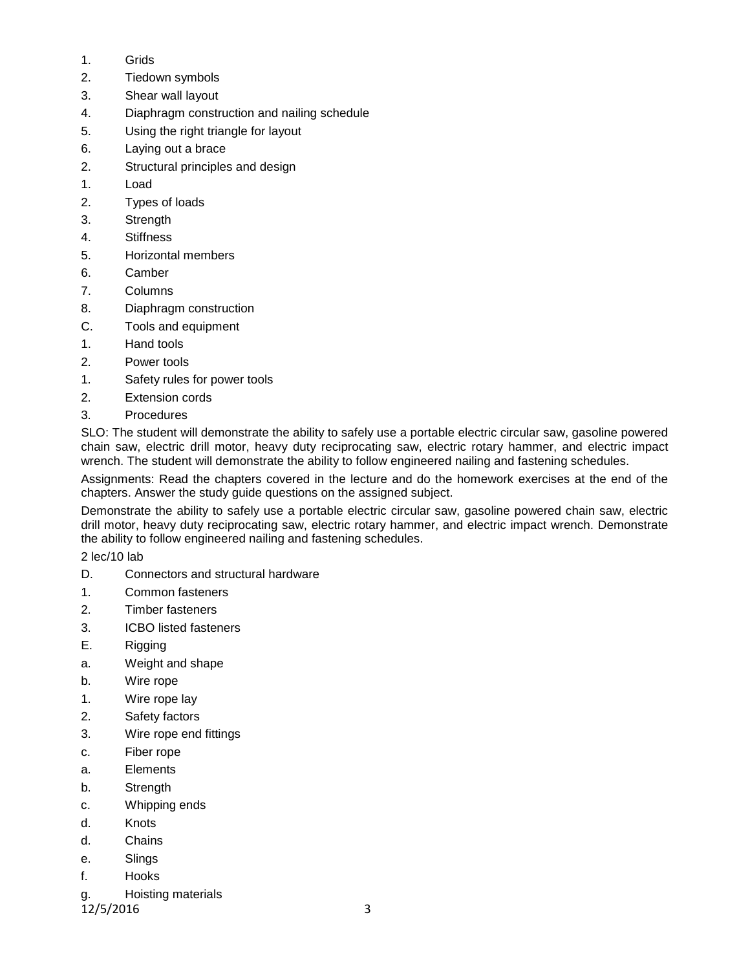- 1. Grids
- 2. Tiedown symbols
- 3. Shear wall layout
- 4. Diaphragm construction and nailing schedule
- 5. Using the right triangle for layout
- 6. Laying out a brace
- 2. Structural principles and design
- 1. Load
- 2. Types of loads
- 3. Strength
- 4. Stiffness
- 5. Horizontal members
- 6. Camber
- 7. Columns
- 8. Diaphragm construction
- C. Tools and equipment
- 1. Hand tools
- 2. Power tools
- 1. Safety rules for power tools
- 2. Extension cords
- 3. Procedures

SLO: The student will demonstrate the ability to safely use a portable electric circular saw, gasoline powered chain saw, electric drill motor, heavy duty reciprocating saw, electric rotary hammer, and electric impact wrench. The student will demonstrate the ability to follow engineered nailing and fastening schedules.

Assignments: Read the chapters covered in the lecture and do the homework exercises at the end of the chapters. Answer the study guide questions on the assigned subject.

Demonstrate the ability to safely use a portable electric circular saw, gasoline powered chain saw, electric drill motor, heavy duty reciprocating saw, electric rotary hammer, and electric impact wrench. Demonstrate the ability to follow engineered nailing and fastening schedules.

2 lec/10 lab

- D. Connectors and structural hardware
- 1. Common fasteners
- 2. Timber fasteners
- 3. ICBO listed fasteners
- E. Rigging
- a. Weight and shape
- b. Wire rope
- 1. Wire rope lay
- 2. Safety factors
- 3. Wire rope end fittings
- c. Fiber rope
- a. Elements
- b. Strength
- c. Whipping ends
- d. Knots
- d. Chains
- e. Slings
- f. Hooks
- g. Hoisting materials

12/5/2016 3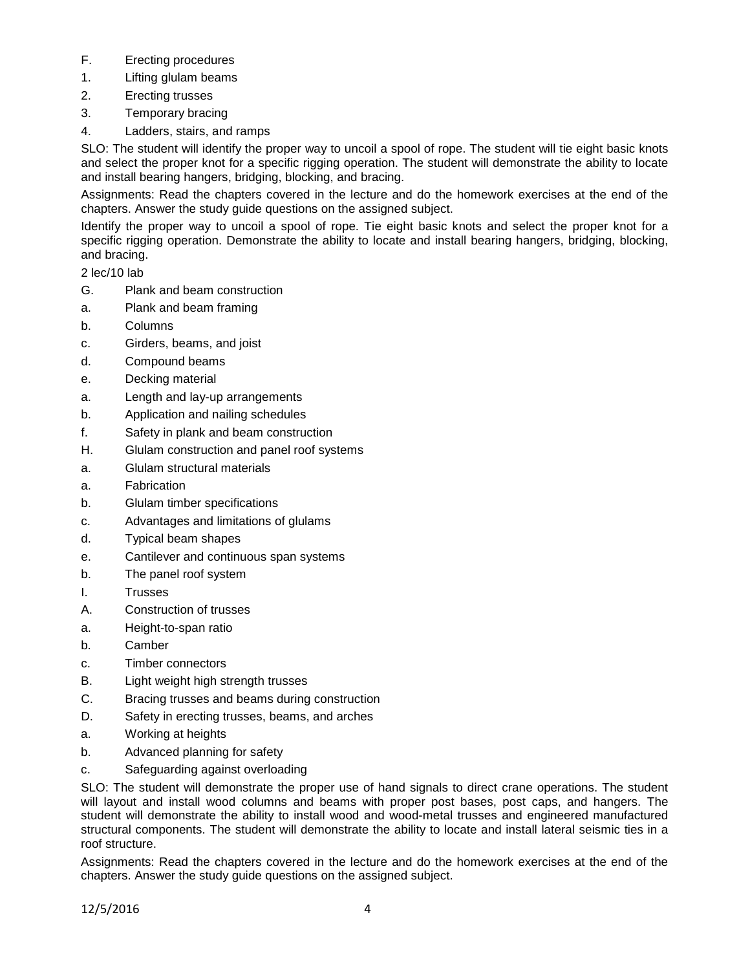- F. Erecting procedures
- 1. Lifting glulam beams
- 2. Erecting trusses
- 3. Temporary bracing
- 4. Ladders, stairs, and ramps

SLO: The student will identify the proper way to uncoil a spool of rope. The student will tie eight basic knots and select the proper knot for a specific rigging operation. The student will demonstrate the ability to locate and install bearing hangers, bridging, blocking, and bracing.

Assignments: Read the chapters covered in the lecture and do the homework exercises at the end of the chapters. Answer the study guide questions on the assigned subject.

Identify the proper way to uncoil a spool of rope. Tie eight basic knots and select the proper knot for a specific rigging operation. Demonstrate the ability to locate and install bearing hangers, bridging, blocking, and bracing.

2 lec/10 lab

- G. Plank and beam construction
- a. Plank and beam framing
- b. Columns
- c. Girders, beams, and joist
- d. Compound beams
- e. Decking material
- a. Length and lay-up arrangements
- b. Application and nailing schedules
- f. Safety in plank and beam construction
- H. Glulam construction and panel roof systems
- a. Glulam structural materials
- a. Fabrication
- b. Glulam timber specifications
- c. Advantages and limitations of glulams
- d. Typical beam shapes
- e. Cantilever and continuous span systems
- b. The panel roof system
- I. Trusses
- A. Construction of trusses
- a. Height-to-span ratio
- b. Camber
- c. Timber connectors
- B. Light weight high strength trusses
- C. Bracing trusses and beams during construction
- D. Safety in erecting trusses, beams, and arches
- a. Working at heights
- b. Advanced planning for safety
- c. Safeguarding against overloading

SLO: The student will demonstrate the proper use of hand signals to direct crane operations. The student will layout and install wood columns and beams with proper post bases, post caps, and hangers. The student will demonstrate the ability to install wood and wood-metal trusses and engineered manufactured structural components. The student will demonstrate the ability to locate and install lateral seismic ties in a roof structure.

Assignments: Read the chapters covered in the lecture and do the homework exercises at the end of the chapters. Answer the study guide questions on the assigned subject.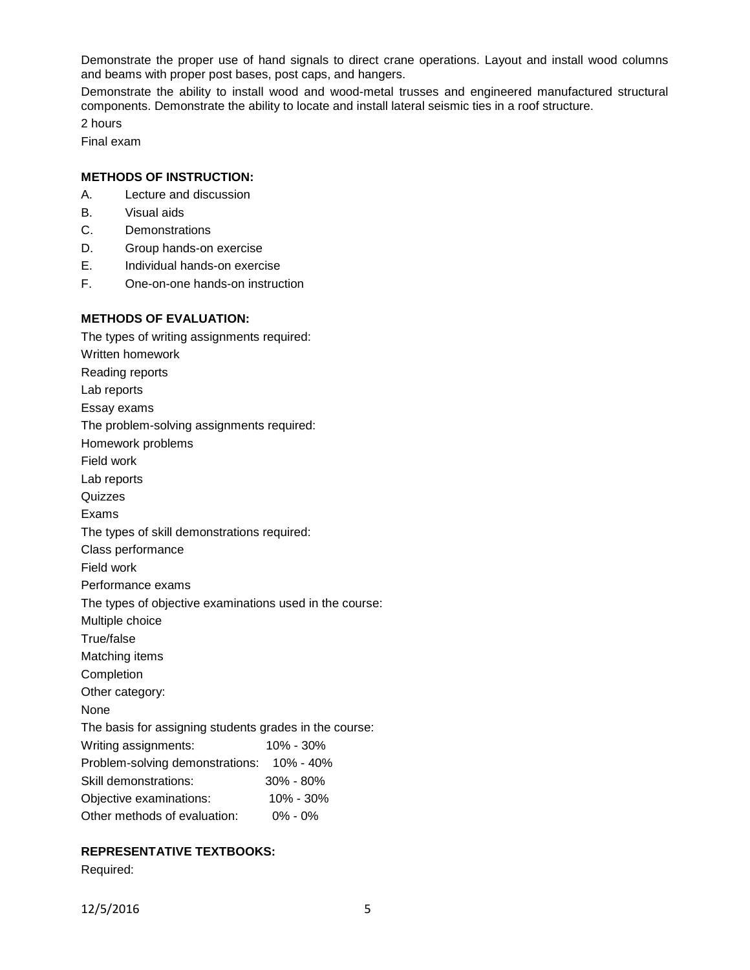Demonstrate the proper use of hand signals to direct crane operations. Layout and install wood columns and beams with proper post bases, post caps, and hangers.

Demonstrate the ability to install wood and wood-metal trusses and engineered manufactured structural components. Demonstrate the ability to locate and install lateral seismic ties in a roof structure.

2 hours

Final exam

#### **METHODS OF INSTRUCTION:**

- A. Lecture and discussion
- B. Visual aids
- C. Demonstrations
- D. Group hands-on exercise
- E. Individual hands-on exercise
- F. One-on-one hands-on instruction

## **METHODS OF EVALUATION:**

The types of writing assignments required: Written homework Reading reports Lab reports Essay exams The problem-solving assignments required: Homework problems Field work Lab reports Quizzes Exams The types of skill demonstrations required: Class performance Field work Performance exams The types of objective examinations used in the course: Multiple choice True/false Matching items Completion Other category: None The basis for assigning students grades in the course: Writing assignments: 10% - 30% Problem-solving demonstrations: 10% - 40% Skill demonstrations: 30% - 80% Objective examinations: 10% - 30% Other methods of evaluation: 0% - 0%

## **REPRESENTATIVE TEXTBOOKS:**

Required: